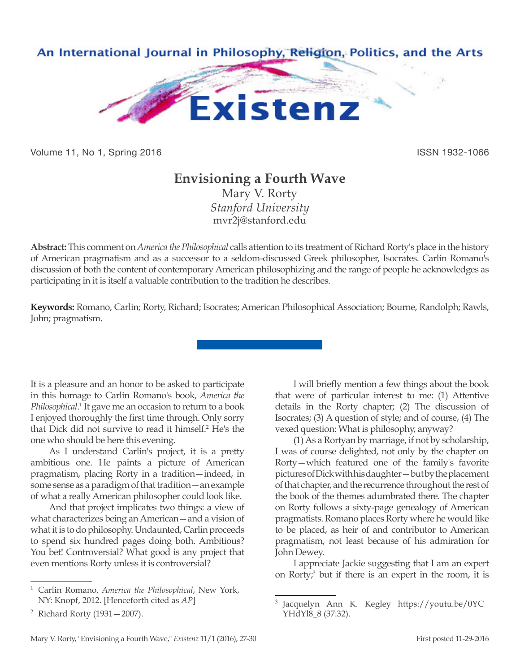

Volume 11, No 1, Spring 2016 **ISSN 1932-1066** ISSN 1932-1066

## **Envisioning a Fourth Wave**

Mary V. Rorty *Stanford University* mvr2j@stanford.edu

**Abstract:** This comment on *America the Philosophical* calls attention to its treatment of Richard Rorty's place in the history of American pragmatism and as a successor to a seldom-discussed Greek philosopher, Isocrates. Carlin Romano's discussion of both the content of contemporary American philosophizing and the range of people he acknowledges as participating in it is itself a valuable contribution to the tradition he describes.

**Keywords:** Romano, Carlin; Rorty, Richard; Isocrates; American Philosophical Association; Bourne, Randolph; Rawls, John; pragmatism.

It is a pleasure and an honor to be asked to participate in this homage to Carlin Romano's book, *America the*  Philosophical.<sup>1</sup> It gave me an occasion to return to a book I enjoyed thoroughly the first time through. Only sorry that Dick did not survive to read it himself.2 He's the one who should be here this evening.

As I understand Carlin's project, it is a pretty ambitious one. He paints a picture of American pragmatism, placing Rorty in a tradition—indeed, in some sense as a paradigm of that tradition—an example of what a really American philosopher could look like.

And that project implicates two things: a view of what characterizes being an American—and a vision of what it is to do philosophy. Undaunted, Carlin proceeds to spend six hundred pages doing both. Ambitious? You bet! Controversial? What good is any project that even mentions Rorty unless it is controversial?

I will briefly mention a few things about the book that were of particular interest to me: (1) Attentive details in the Rorty chapter; (2) The discussion of Isocrates; (3) A question of style; and of course, (4) The vexed question: What is philosophy, anyway?

(1) As a Rortyan by marriage, if not by scholarship, I was of course delighted, not only by the chapter on Rorty—which featured one of the family's favorite pictures of Dick with his daughter—but by the placement of that chapter, and the recurrence throughout the rest of the book of the themes adumbrated there. The chapter on Rorty follows a sixty-page genealogy of American pragmatists. Romano places Rorty where he would like to be placed, as heir of and contributor to American pragmatism, not least because of his admiration for John Dewey.

I appreciate Jackie suggesting that I am an expert on Rorty;<sup>3</sup> but if there is an expert in the room, it is

<sup>1</sup> Carlin Romano, *America the Philosophical*, New York, NY: Knopf, 2012. [Henceforth cited as *AP*]

<sup>2</sup> Richard Rorty (1931—2007).

Jacquelyn Ann K. Kegley https://youtu.be/0YC YHdYl8 8 (37:32).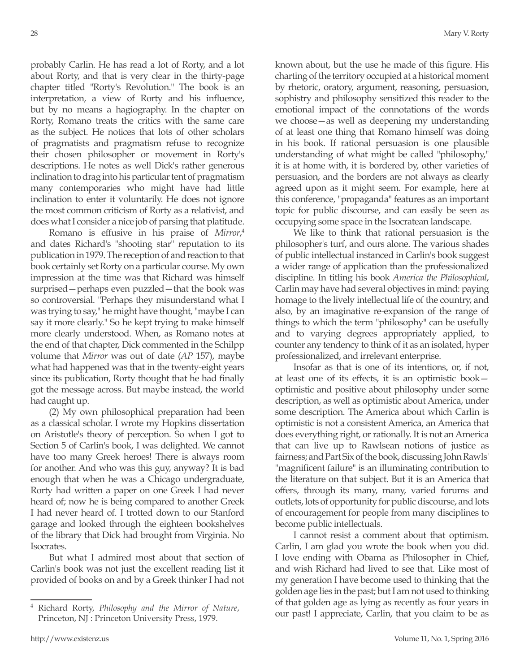probably Carlin. He has read a lot of Rorty, and a lot about Rorty, and that is very clear in the thirty-page chapter titled "Rorty's Revolution." The book is an interpretation, a view of Rorty and his influence, but by no means a hagiography. In the chapter on Rorty, Romano treats the critics with the same care as the subject. He notices that lots of other scholars of pragmatists and pragmatism refuse to recognize their chosen philosopher or movement in Rorty's descriptions. He notes as well Dick's rather generous inclination to drag into his particular tent of pragmatism many contemporaries who might have had little inclination to enter it voluntarily. He does not ignore the most common criticism of Rorty as a relativist, and does what I consider a nice job of parsing that platitude.

Romano is effusive in his praise of *Mirror*, 4 and dates Richard's "shooting star" reputation to its publication in 1979. The reception of and reaction to that book certainly set Rorty on a particular course. My own impression at the time was that Richard was himself surprised—perhaps even puzzled—that the book was so controversial. "Perhaps they misunderstand what I was trying to say," he might have thought, "maybe I can say it more clearly." So he kept trying to make himself more clearly understood. When, as Romano notes at the end of that chapter, Dick commented in the Schilpp volume that *Mirror* was out of date (*AP* 157), maybe what had happened was that in the twenty-eight years since its publication, Rorty thought that he had finally got the message across. But maybe instead, the world had caught up.

(2) My own philosophical preparation had been as a classical scholar. I wrote my Hopkins dissertation on Aristotle's theory of perception. So when I got to Section 5 of Carlin's book, I was delighted. We cannot have too many Greek heroes! There is always room for another. And who was this guy, anyway? It is bad enough that when he was a Chicago undergraduate, Rorty had written a paper on one Greek I had never heard of; now he is being compared to another Greek I had never heard of. I trotted down to our Stanford garage and looked through the eighteen bookshelves of the library that Dick had brought from Virginia. No Isocrates.

But what I admired most about that section of Carlin's book was not just the excellent reading list it provided of books on and by a Greek thinker I had not known about, but the use he made of this figure. His charting of the territory occupied at a historical moment by rhetoric, oratory, argument, reasoning, persuasion, sophistry and philosophy sensitized this reader to the emotional impact of the connotations of the words we choose—as well as deepening my understanding of at least one thing that Romano himself was doing in his book. If rational persuasion is one plausible understanding of what might be called "philosophy," it is at home with, it is bordered by, other varieties of persuasion, and the borders are not always as clearly agreed upon as it might seem. For example, here at this conference, "propaganda" features as an important topic for public discourse, and can easily be seen as occupying some space in the Isocratean landscape.

We like to think that rational persuasion is the philosopher's turf, and ours alone. The various shades of public intellectual instanced in Carlin's book suggest a wider range of application than the professionalized discipline. In titling his book *America the Philosophical*, Carlin may have had several objectives in mind: paying homage to the lively intellectual life of the country, and also, by an imaginative re-expansion of the range of things to which the term "philosophy" can be usefully and to varying degrees appropriately applied, to counter any tendency to think of it as an isolated, hyper professionalized, and irrelevant enterprise.

Insofar as that is one of its intentions, or, if not, at least one of its effects, it is an optimistic book optimistic and positive about philosophy under some description, as well as optimistic about America, under some description. The America about which Carlin is optimistic is not a consistent America, an America that does everything right, or rationally. It is not an America that can live up to Rawlsean notions of justice as fairness; and Part Six of the book, discussing John Rawls' "magnificent failure" is an illuminating contribution to the literature on that subject. But it is an America that offers, through its many, many, varied forums and outlets, lots of opportunity for public discourse, and lots of encouragement for people from many disciplines to become public intellectuals.

I cannot resist a comment about that optimism. Carlin, I am glad you wrote the book when you did. I love ending with Obama as Philosopher in Chief, and wish Richard had lived to see that. Like most of my generation I have become used to thinking that the golden age lies in the past; but I am not used to thinking of that golden age as lying as recently as four years in our past! I appreciate, Carlin, that you claim to be as

<sup>4</sup> Richard Rorty, *Philosophy and the Mirror of Nature*, Princeton, NJ : Princeton University Press, 1979.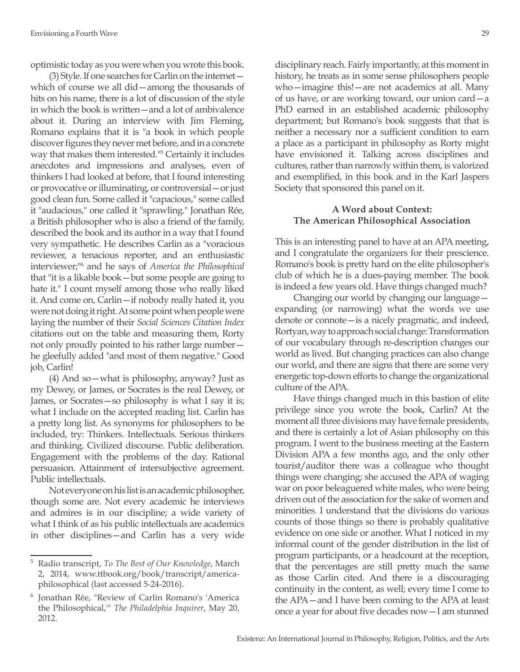optimistic today as you were when you wrote this book.

(3) Style. If one searches for Carlin on the internet which of course we all did—among the thousands of hits on his name, there is a lot of discussion of the style in which the book is written—and a lot of ambivalence about it. During an interview with Jim Fleming, Romano explains that it is "a book in which people discover figures they never met before, and in a concrete way that makes them interested."5 Certainly it includes anecdotes and impressions and analyses, even of thinkers I had looked at before, that I found interesting or provocative or illuminating, or controversial—or just good clean fun. Some called it "capacious," some called it "audacious," one called it "sprawling." Jonathan Rée, a British philosopher who is also a friend of the family, described the book and its author in a way that I found very sympathetic. He describes Carlin as a "voracious reviewer, a tenacious reporter, and an enthusiastic interviewer;"6 and he says of *America the Philosophical*  that "it is a likable book—but some people are going to hate it." I count myself among those who really liked it. And come on, Carlin—if nobody really hated it, you were not doing it right. At some point when people were laying the number of their *Social Sciences Citation Index* citations out on the table and measuring them, Rorty not only proudly pointed to his rather large number he gleefully added "and most of them negative." Good job, Carlin!

(4) And so—what is philosophy, anyway? Just as my Dewey, or James, or Socrates is the real Dewey, or James, or Socrates—so philosophy is what I say it is; what I include on the accepted reading list. Carlin has a pretty long list. As synonyms for philosophers to be included, try: Thinkers. Intellectuals. Serious thinkers and thinking. Civilized discourse. Public deliberation. Engagement with the problems of the day. Rational persuasion. Attainment of intersubjective agreement. Public intellectuals.

Not everyone on his list is an academic philosopher, though some are. Not every academic he interviews and admires is in our discipline; a wide variety of what I think of as his public intellectuals are academics in other disciplines—and Carlin has a very wide disciplinary reach. Fairly importantly, at this moment in history, he treats as in some sense philosophers people who—imagine this!—are not academics at all. Many of us have, or are working toward, our union card—a PhD earned in an established academic philosophy department; but Romano's book suggests that that is neither a necessary nor a sufficient condition to earn a place as a participant in philosophy as Rorty might have envisioned it. Talking across disciplines and cultures, rather than narrowly within them, is valorized and exemplified, in this book and in the Karl Jaspers Society that sponsored this panel on it.

## **A Word about Context: The American Philosophical Association**

This is an interesting panel to have at an APA meeting, and I congratulate the organizers for their prescience. Romano's book is pretty hard on the elite philosopher's club of which he is a dues-paying member. The book is indeed a few years old. Have things changed much?

Changing our world by changing our language expanding (or narrowing) what the words we use denote or connote—is a nicely pragmatic, and indeed, Rortyan, way to approach social change: Transformation of our vocabulary through re-description changes our world as lived. But changing practices can also change our world, and there are signs that there are some very energetic top-down efforts to change the organizational culture of the APA.

Have things changed much in this bastion of elite privilege since you wrote the book, Carlin? At the moment all three divisions may have female presidents, and there is certainly a lot of Asian philosophy on this program. I went to the business meeting at the Eastern Division APA a few months ago, and the only other tourist/auditor there was a colleague who thought things were changing; she accused the APA of waging war on poor beleaguered white males, who were being driven out of the association for the sake of women and minorities. I understand that the divisions do various counts of those things so there is probably qualitative evidence on one side or another. What I noticed in my informal count of the gender distribution in the list of program participants, or a headcount at the reception, that the percentages are still pretty much the same as those Carlin cited. And there is a discouraging continuity in the content, as well; every time I come to the APA—and I have been coming to the APA at least once a year for about five decades now—I am stunned

<sup>5</sup> Radio transcript, *To The Best of Our Knowledge*, March 2, 2014, www.ttbook.org/book/transcript/americaphilosophical (last accessed 5-24-2016).

<sup>6</sup> Jonathan Rée, "Review of Carlin Romano's 'America the Philosophical,'" *The Philadelphia Inquirer*, May 20, 2012.